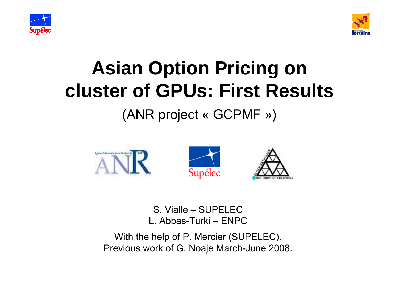



#### **Asian Option Pricing on cluster of GPUs: First Results**

#### (ANR project « GCPMF »)



#### S. Vialle – SUPELECL. Abbas-Turki – ENPC

With the help of P. Mercier (SUPELEC). Previous work of G. Noaje March-June 2008.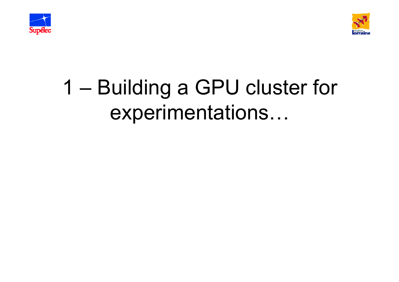



### 1 – Building a GPU cluster for experimentations…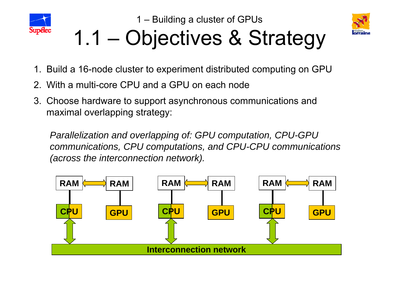



# 1.1 – Objectives & Strategy

- 1. Build a 16-node cluster to experiment distributed computing on GPU
- 2. With a multi-core CPU and a GPU on each node
- 3. Choose hardware to support asynchronous communications and maximal overlapping strategy:

*Parallelization and overlapping of: GPU computation, CPU-GPU communications, CPU computations, and CPU-CPU communications (across the interconnection network).*

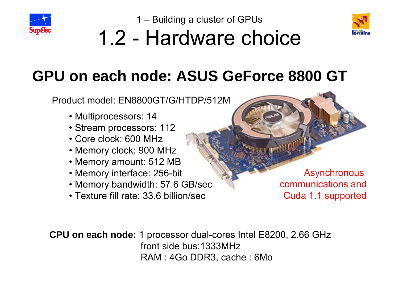



#### 1.2 - Hardware choice

#### **GPU on each node: ASUS GeForce 8800 GT**

Product model: EN8800GT/G/HTDP/512M

- Multiprocessors: 14
- Stream processors: 112
- Core clock: 600 MHz
- Memory clock: 900 MHz
- Memory amount: 512 MB
- Memory interface: 256-bit
- Memory bandwidth: 57.6 GB/sec
- Texture fill rate: 33.6 billion/sec

**Asynchronous** communications andCuda 1.1 supported

**CPU on each node:** 1 processor dual-cores Intel E8200, 2.66 GHz front side bus:1333MHzRAM : 4Go DDR3, cache : 6Mo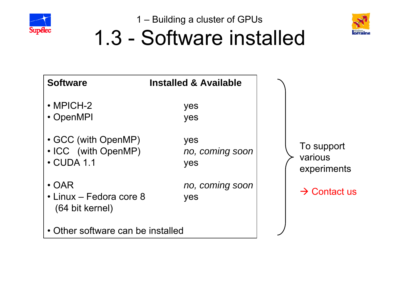



### 1.3 - Software installed

| <b>Software</b>                                           | <b>Installed &amp; Available</b> |                                      |
|-----------------------------------------------------------|----------------------------------|--------------------------------------|
| $\cdot$ MPICH-2<br>• OpenMPI                              | yes<br>yes                       |                                      |
| • GCC (with OpenMP)<br>• ICC (with OpenMP)<br>• CUDA 1.1  | yes<br>no, coming soon<br>yes    | To support<br>various<br>experiments |
| $\cdot$ OAR<br>• Linux – Fedora core 8<br>(64 bit kernel) | no, coming soon<br>yes           | $\rightarrow$ Contact us             |
| • Other software can be installed                         |                                  |                                      |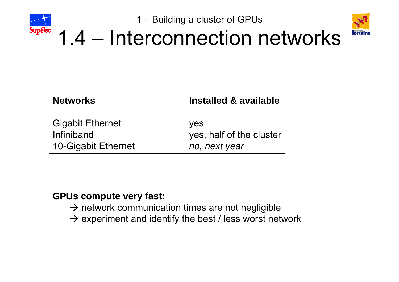



#### 1.4 – Interconnection networks

| <b>Networks</b>         | Installed & available    |
|-------------------------|--------------------------|
| <b>Gigabit Ethernet</b> | <b>ves</b>               |
| Infiniband              | yes, half of the cluster |
| 10-Gigabit Ethernet     | no, next year            |

#### **GPUs compute very fast:**

- $\rightarrow$  network communication times are not negligible
- $\rightarrow$  experiment and identify the best / less worst network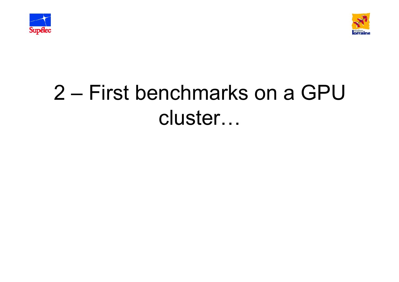



### 2 – First benchmarks on a GPU cluster…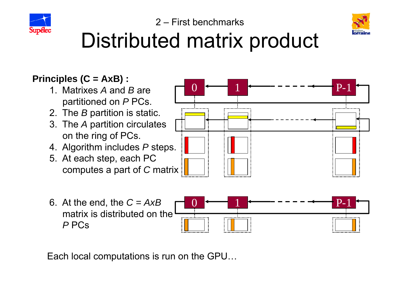



#### Distributed matrix product

#### **Principles (C = AxB) :**

- 1. Matrixes *A* and *B* are partitioned on *P* PCs.
- 2. The *B* partition is static.
- 3. The *A* partition circulates on the ring of PCs.
- 4. Algorithm includes *P* steps.
- 5. At each step, each PC computes a part of *C* matrix
- 6. At the end, the *C = AxB* matrix is distributed on the*P* PCs



 $\rm 0$ 1 P-1

Each local computations is run on the GPU…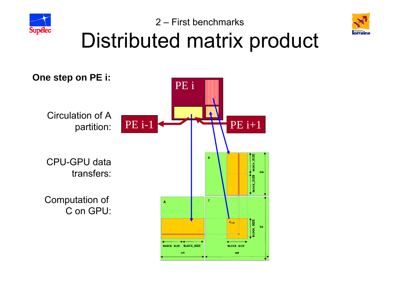



## Distributed matrix product

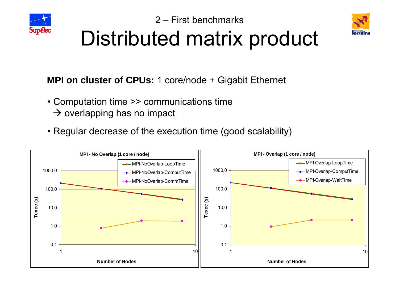



#### Distributed matrix product

**MPI on cluster of CPUs:** 1 core/node + Gigabit Ethernet

- Computation time >> communications time
	- $\rightarrow$  overlapping has no impact
- Regular decrease of the execution time (good scalability)

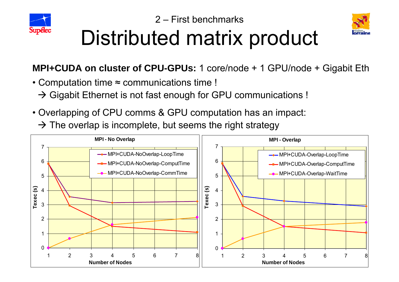



## Distributed matrix product

**MPI+CUDA on cluster of CPU-GPUs:** 1 core/node + 1 GPU/node + Gigabit Eth

- Computation time <sup>≈</sup> communications time !
	- $\rightarrow$  Gigabit Ethernet is not fast enough for GPU communications !
- Overlapping of CPU comms & GPU computation has an impact:
	- $\rightarrow$  The overlap is incomplete, but seems the right strategy

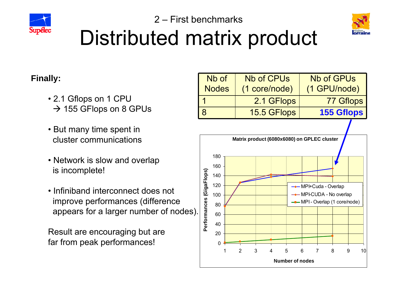



#### 2 – First benchmarksDistributed matrix product

#### **Finally:**

- 2.1 Gflops on 1 CPU  $\rightarrow$  155 GFlops on 8 GPUs
- But many time spent in cluster communications
- Network is slow and overlap is incomplete!
- Infiniband interconnect does notimprove performances (difference appears for a larger number of nodes).

Result are encouraging but are far from peak performances!

| Nb of        | <b>Nb of CPUs</b> | <b>Nb of GPUs</b> |
|--------------|-------------------|-------------------|
| <b>Nodes</b> | (1 core/node)     | (1 GPU/node)      |
|              | 2.1 GFlops        | 77 Gflops         |
|              | 15.5 GFlops       | <b>155 Gflops</b> |

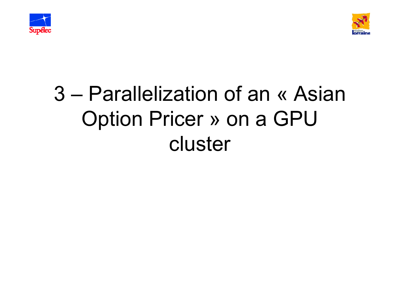



## 3 – Parallelization of an « AsianOption Pricer » on a GPU cluster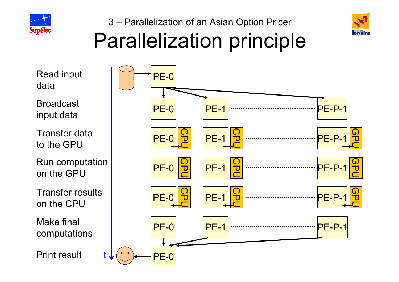



#### 3 – Parallelization of an Asian Option Pricer Parallelization principle

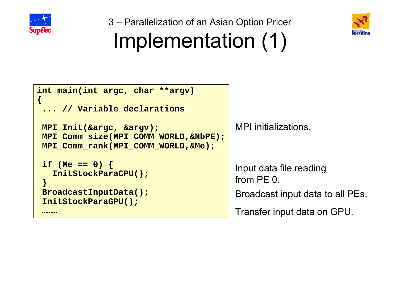

**{**

3 – Parallelization of an Asian Option Pricer Implementation (1)



#### **int main(int argc, char \*\*argv) ... // Variable declarations MPI\_Init(&argc, &argv); MPI\_Comm\_size(MPI\_COMM\_WORLD,&NbPE); MPI\_Comm\_rank(MPI\_COMM\_WORLD,&Me);**

```
if (Me == 0) {
  InitStockParaCPU();
}
BroadcastInputData();
InitStockParaGPU(); 
………
```
MPI initializations.

Input data file reading from PE 0.

Broadcast input data to all PEs.

Transfer input data on GPU.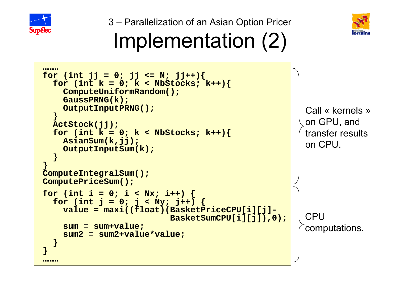

3 – Parallelization of an Asian Option Pricer



### Implementation (2)

```
………for (int jj = 0; jj \le N; jj++){<br>for (int k = 0; k < NbStocks; k++){
    ComputeUniformRandom();
    GaussPRNG(k); 
    OutputInputPRNG();
  }
  ActStock(jj);
  for (int k = 0; k < NbStocks; k++){
    AsianSum(k,jj); 
    OutputInputSum(k);
  }
}
ComputeIntegralSum();
ComputePriceSum();
for (int i = 0; i < Nx; i++) {<br>for (int j = 0; j < Ny; j++) {
    value = maxi((float)(BasketPriceCPU[i][j]-
                              BasketSumCPU[i][j]),0);
    sum = sum+value;
    sum2 = sum2+value*value;
  }
}
………Call « kernels »on GPU, and
                                                              transfer resultson CPU.CPU computations.
```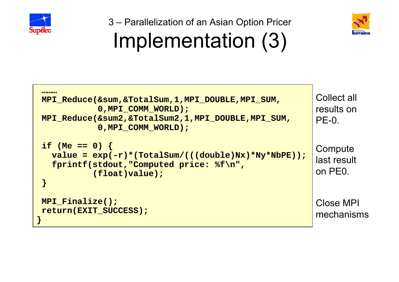

3 – Parallelization of an Asian Option Pricer



## Implementation (3)

| MPI_Reduce(∑,&TotalSum,1,MPI_DOUBLE,MPI_SUM,<br>0, MPI COMM WORLD);<br>MPI_Reduce(&sum2,&TotalSum2,1,MPI_DOUBLE,MPI_SUM,<br>0, MPI COMM WORLD) ; | Collect all<br>results on<br>$PE-0.$ |
|--------------------------------------------------------------------------------------------------------------------------------------------------|--------------------------------------|
| if (Me == 0) {<br>value = $exp(-r)*(TotalSum/((double)Nx)*Ny*NbPE))$ ;<br>fprintf(stdout, "Computed price: %f\n",<br>(f <i>loat</i> ) value) ;   | Compute<br>last result<br>on PE0.    |
| MPI Finalize();<br>return(EXIT SUCCESS);                                                                                                         | Close MPI<br>mechanisms              |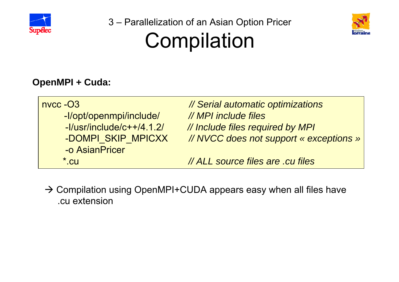

3 – Parallelization of an Asian Option Pricer Compilation



#### **OpenMPI + Cuda:**

| $n$ nvcc $ O3$               | // Serial automatic optimizations       |
|------------------------------|-----------------------------------------|
| -l/opt/openmpi/include/      | // MPI include files                    |
| $-I$ /usr/include/c++/4.1.2/ | // Include files required by MPI        |
| -DOMPI SKIP MPICXX           | // NVCC does not support « exceptions » |
| -o AsianPricer               |                                         |
| $^*$ .cu                     | // ALL source files are .cu files       |

 $\rightarrow$  Compilation using OpenMPI+CUDA appears easy when all files have .cu extension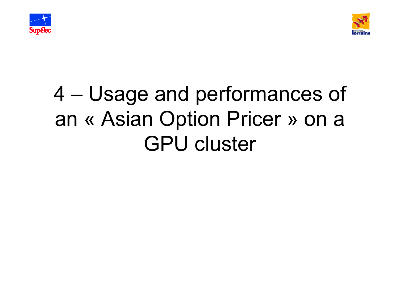



### 4 – Usage and performances of an « Asian Option Pricer » on a GPU cluster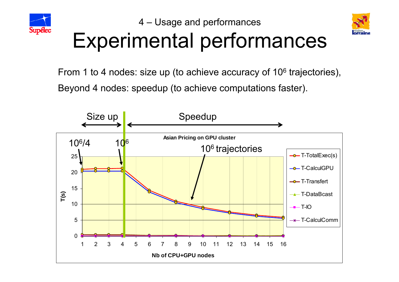



# Experimental performances

From 1 to 4 nodes: size up (to achieve accuracy of 10 $^{\rm 6}$  trajectories), Beyond 4 nodes: speedup (to achieve computations faster).

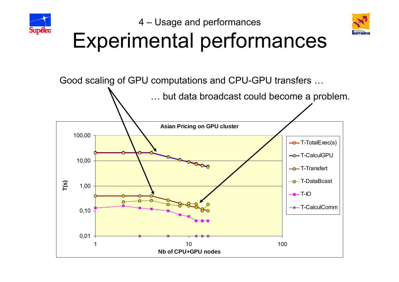



# Experimental performances

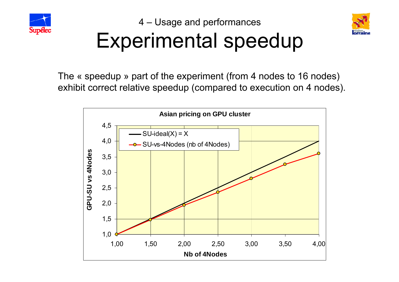



## Experimental speedup

The « speedup » part of the experiment (from 4 nodes to 16 nodes) exhibit correct relative speedup (compared to execution on 4 nodes).

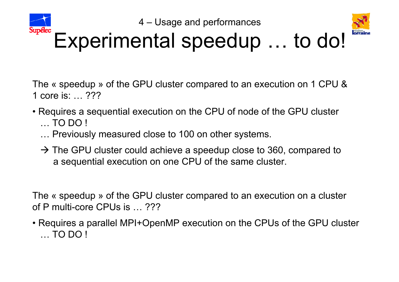



#### Experimental speedup … to do!

The « speedup » of the GPU cluster compared to an execution on 1 CPU & 1 core is: … ???

- Requires a sequential execution on the CPU of node of the GPU cluster … TO DO !
	- … Previously measured close to 100 on other systems.
	- $\rightarrow$  The GPU cluster could achieve a speedup close to 360, compared to a sequential execution on one CPU of the same cluster.

The « speedup » of the GPU cluster compared to an execution on a cluster of P multi-core CPUs is … ???

• Requires a parallel MPI+OpenMP execution on the CPUs of the GPU cluster … TO DO !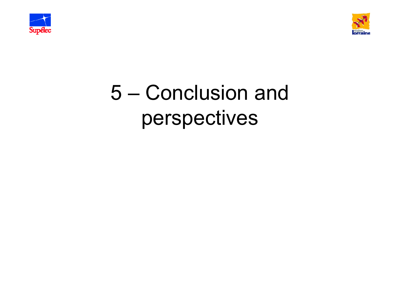



### 5 – Conclusion and perspectives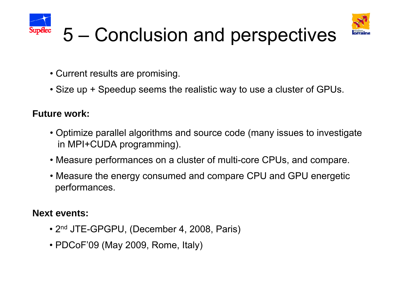



### 5 – Conclusion and perspectives

- Current results are promising.
- Size up + Speedup seems the realistic way to use a cluster of GPUs.

#### **Future work:**

- Optimize parallel algorithms and source code (many issues to investigate in MPI+CUDA programming).
- Measure performances on a cluster of multi-core CPUs, and compare.
- Measure the energy consumed and compare CPU and GPU energetic performances.

#### **Next events:**

- 2nd JTE-GPGPU, (December 4, 2008, Paris)
- PDCoF'09 (May 2009, Rome, Italy)